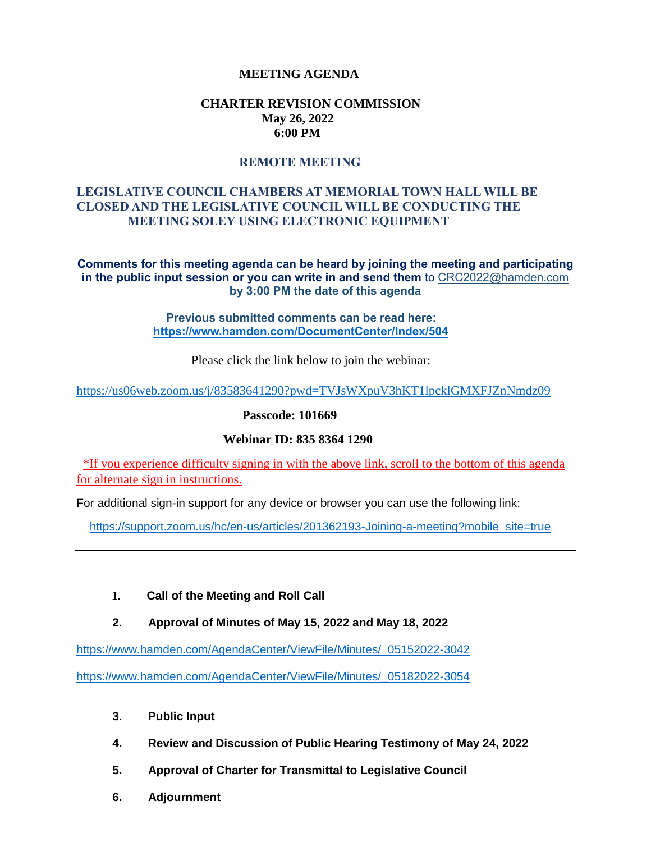# **MEETING AGENDA**

## **CHARTER REVISION COMMISSION May 26, 2022 6:00 PM**

## **REMOTE MEETING**

# **LEGISLATIVE COUNCIL CHAMBERS AT MEMORIAL TOWN HALL WILL BE CLOSED AND THE LEGISLATIVE COUNCIL WILL BE CONDUCTING THE MEETING SOLEY USING ELECTRONIC EQUIPMENT**

**Comments for this meeting agenda can be heard by joining the meeting and participating in the public input session or you can write in and send them** to CRC2022@hamden.com **by 3:00 PM the date of this agenda**

> **Previous submitted comments can be read here: <https://www.hamden.com/DocumentCenter/Index/504>**

> > Please click the link below to join the webinar:

<https://us06web.zoom.us/j/83583641290?pwd=TVJsWXpuV3hKT1lpcklGMXFJZnNmdz09>

**Passcode: 101669**

#### **Webinar ID: 835 8364 1290**

\*If you experience difficulty signing in with the above link, scroll to the bottom of this agenda for alternate sign in instructions.

For additional sign-in support for any device or browser you can use the following link:

[https://support.zoom.us/hc/en-us/articles/201362193-Joining-a-meeting?mobile\\_site=true](https://support.zoom.us/hc/en-us/articles/201362193-Joining-a-meeting?mobile_site=true)

#### **1. Call of the Meeting and Roll Call**

 **2. Approval of Minutes of May 15, 2022 and May 18, 2022**

[https://www.hamden.com/AgendaCenter/ViewFile/Minutes/\\_05152022-3042](https://www.hamden.com/AgendaCenter/ViewFile/Minutes/_05152022-3042)

[https://www.hamden.com/AgendaCenter/ViewFile/Minutes/\\_05182022-3054](https://www.hamden.com/AgendaCenter/ViewFile/Minutes/_05182022-3054)

- **3. Public Input**
- **4. Review and Discussion of Public Hearing Testimony of May 24, 2022**
- **5. Approval of Charter for Transmittal to Legislative Council**
- **6. Adjournment**